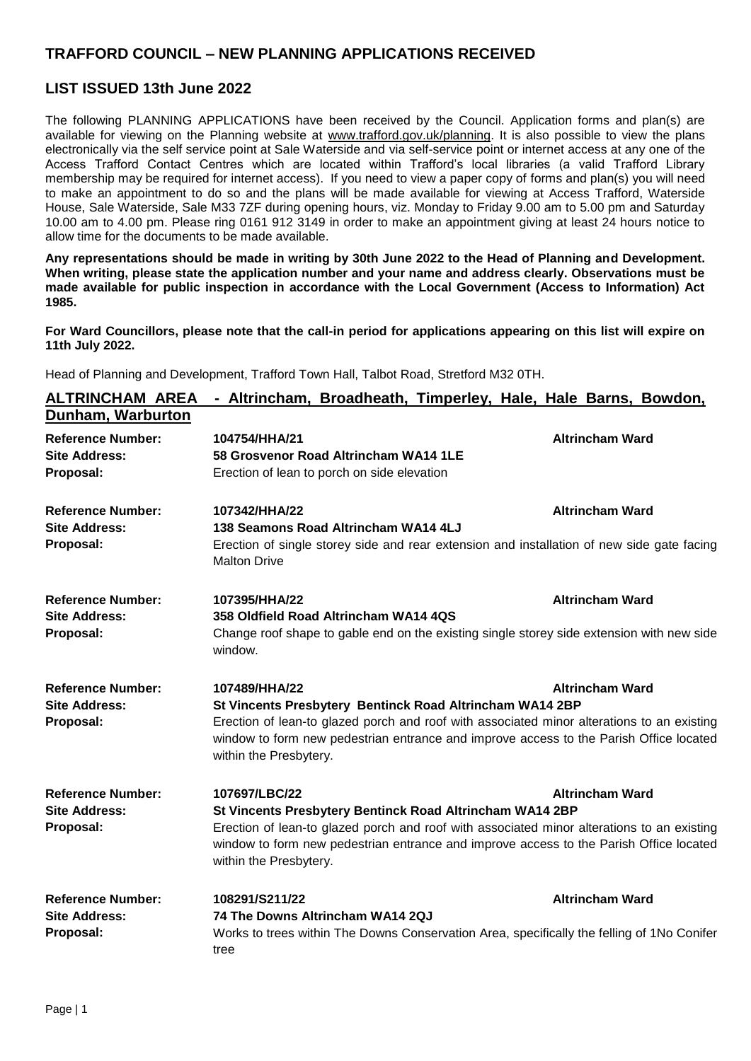## **TRAFFORD COUNCIL – NEW PLANNING APPLICATIONS RECEIVED**

## **LIST ISSUED 13th June 2022**

The following PLANNING APPLICATIONS have been received by the Council. Application forms and plan(s) are available for viewing on the Planning website at [www.trafford.gov.uk/planning.](http://www.trafford.gov.uk/planning) It is also possible to view the plans electronically via the self service point at Sale Waterside and via self-service point or internet access at any one of the Access Trafford Contact Centres which are located within Trafford's local libraries (a valid Trafford Library membership may be required for internet access). If you need to view a paper copy of forms and plan(s) you will need to make an appointment to do so and the plans will be made available for viewing at Access Trafford, Waterside House, Sale Waterside, Sale M33 7ZF during opening hours, viz. Monday to Friday 9.00 am to 5.00 pm and Saturday 10.00 am to 4.00 pm. Please ring 0161 912 3149 in order to make an appointment giving at least 24 hours notice to allow time for the documents to be made available.

**Any representations should be made in writing by 30th June 2022 to the Head of Planning and Development. When writing, please state the application number and your name and address clearly. Observations must be made available for public inspection in accordance with the Local Government (Access to Information) Act 1985.**

**For Ward Councillors, please note that the call-in period for applications appearing on this list will expire on 11th July 2022.**

Head of Planning and Development, Trafford Town Hall, Talbot Road, Stretford M32 0TH.

| ALTRINCHAM AREA          | - Altrincham, Broadheath, Timperley, Hale, Hale Barns, Bowdon,                                                                                                                                                 |                        |
|--------------------------|----------------------------------------------------------------------------------------------------------------------------------------------------------------------------------------------------------------|------------------------|
| Dunham, Warburton        |                                                                                                                                                                                                                |                        |
| <b>Reference Number:</b> | 104754/HHA/21                                                                                                                                                                                                  | <b>Altrincham Ward</b> |
| <b>Site Address:</b>     | 58 Grosvenor Road Altrincham WA14 1LE                                                                                                                                                                          |                        |
| Proposal:                | Erection of lean to porch on side elevation                                                                                                                                                                    |                        |
| <b>Reference Number:</b> | 107342/HHA/22                                                                                                                                                                                                  | <b>Altrincham Ward</b> |
| <b>Site Address:</b>     | 138 Seamons Road Altrincham WA14 4LJ                                                                                                                                                                           |                        |
| Proposal:                | Erection of single storey side and rear extension and installation of new side gate facing<br><b>Malton Drive</b>                                                                                              |                        |
| <b>Reference Number:</b> | 107395/HHA/22                                                                                                                                                                                                  | <b>Altrincham Ward</b> |
| <b>Site Address:</b>     | 358 Oldfield Road Altrincham WA14 4QS                                                                                                                                                                          |                        |
| Proposal:                | Change roof shape to gable end on the existing single storey side extension with new side<br>window.                                                                                                           |                        |
| <b>Reference Number:</b> | 107489/HHA/22                                                                                                                                                                                                  | <b>Altrincham Ward</b> |
| <b>Site Address:</b>     | St Vincents Presbytery Bentinck Road Altrincham WA14 2BP                                                                                                                                                       |                        |
| Proposal:                | Erection of lean-to glazed porch and roof with associated minor alterations to an existing<br>window to form new pedestrian entrance and improve access to the Parish Office located<br>within the Presbytery. |                        |
| <b>Reference Number:</b> | 107697/LBC/22                                                                                                                                                                                                  | <b>Altrincham Ward</b> |
| <b>Site Address:</b>     | St Vincents Presbytery Bentinck Road Altrincham WA14 2BP                                                                                                                                                       |                        |
| Proposal:                | Erection of lean-to glazed porch and roof with associated minor alterations to an existing<br>window to form new pedestrian entrance and improve access to the Parish Office located<br>within the Presbytery. |                        |
| <b>Reference Number:</b> | 108291/S211/22                                                                                                                                                                                                 | <b>Altrincham Ward</b> |
| <b>Site Address:</b>     | 74 The Downs Altrincham WA14 2QJ                                                                                                                                                                               |                        |
| Proposal:                | Works to trees within The Downs Conservation Area, specifically the felling of 1No Conifer<br>tree                                                                                                             |                        |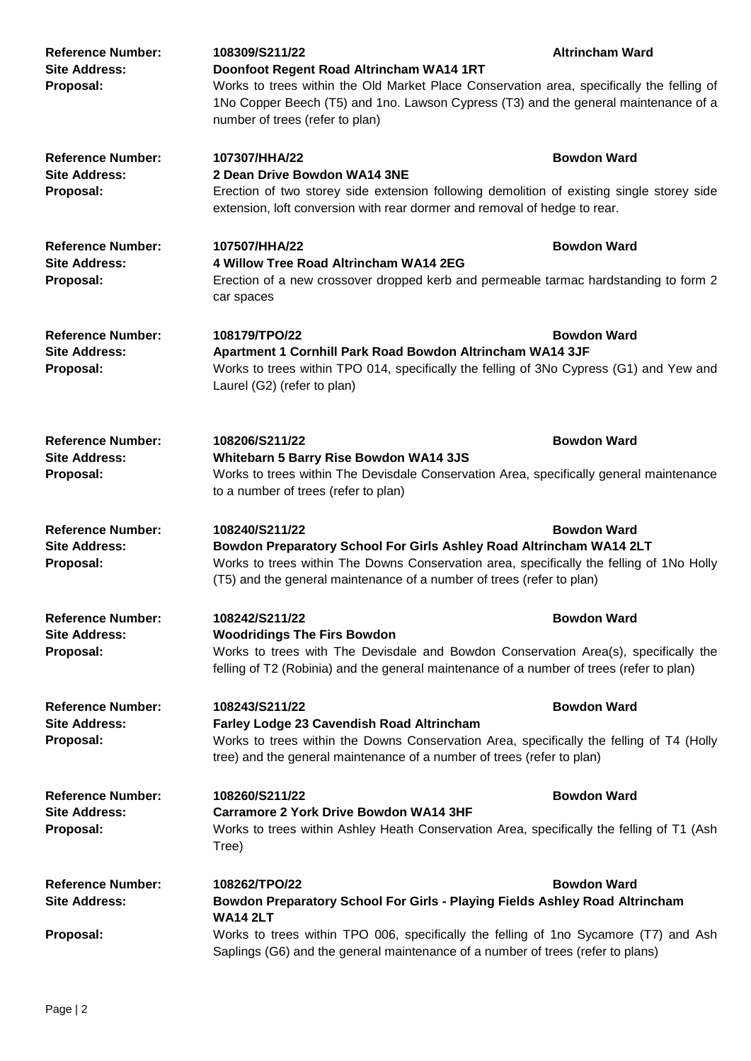| <b>Reference Number:</b><br><b>Site Address:</b><br>Proposal: | 108309/S211/22<br>Doonfoot Regent Road Altrincham WA14 1RT<br>Works to trees within the Old Market Place Conservation area, specifically the felling of<br>1No Copper Beech (T5) and 1no. Lawson Cypress (T3) and the general maintenance of a<br>number of trees (refer to plan) | <b>Altrincham Ward</b> |
|---------------------------------------------------------------|-----------------------------------------------------------------------------------------------------------------------------------------------------------------------------------------------------------------------------------------------------------------------------------|------------------------|
| <b>Reference Number:</b><br><b>Site Address:</b><br>Proposal: | 107307/HHA/22<br>2 Dean Drive Bowdon WA14 3NE<br>Erection of two storey side extension following demolition of existing single storey side<br>extension, loft conversion with rear dormer and removal of hedge to rear.                                                           | <b>Bowdon Ward</b>     |
| <b>Reference Number:</b><br><b>Site Address:</b><br>Proposal: | 107507/HHA/22<br>4 Willow Tree Road Altrincham WA14 2EG<br>Erection of a new crossover dropped kerb and permeable tarmac hardstanding to form 2<br>car spaces                                                                                                                     | <b>Bowdon Ward</b>     |
| <b>Reference Number:</b><br><b>Site Address:</b><br>Proposal: | 108179/TPO/22<br>Apartment 1 Cornhill Park Road Bowdon Altrincham WA14 3JF<br>Works to trees within TPO 014, specifically the felling of 3No Cypress (G1) and Yew and<br>Laurel (G2) (refer to plan)                                                                              | <b>Bowdon Ward</b>     |
| <b>Reference Number:</b><br><b>Site Address:</b><br>Proposal: | 108206/S211/22<br>Whitebarn 5 Barry Rise Bowdon WA14 3JS<br>Works to trees within The Devisdale Conservation Area, specifically general maintenance<br>to a number of trees (refer to plan)                                                                                       | <b>Bowdon Ward</b>     |
| <b>Reference Number:</b><br><b>Site Address:</b><br>Proposal: | 108240/S211/22<br>Bowdon Preparatory School For Girls Ashley Road Altrincham WA14 2LT<br>Works to trees within The Downs Conservation area, specifically the felling of 1No Holly<br>(T5) and the general maintenance of a number of trees (refer to plan)                        | <b>Bowdon Ward</b>     |
| <b>Reference Number:</b><br><b>Site Address:</b><br>Proposal: | 108242/S211/22<br><b>Woodridings The Firs Bowdon</b><br>Works to trees with The Devisdale and Bowdon Conservation Area(s), specifically the<br>felling of T2 (Robinia) and the general maintenance of a number of trees (refer to plan)                                           | <b>Bowdon Ward</b>     |
| <b>Reference Number:</b><br><b>Site Address:</b><br>Proposal: | 108243/S211/22<br>Farley Lodge 23 Cavendish Road Altrincham<br>Works to trees within the Downs Conservation Area, specifically the felling of T4 (Holly<br>tree) and the general maintenance of a number of trees (refer to plan)                                                 | <b>Bowdon Ward</b>     |
| <b>Reference Number:</b><br><b>Site Address:</b><br>Proposal: | 108260/S211/22<br><b>Carramore 2 York Drive Bowdon WA14 3HF</b><br>Works to trees within Ashley Heath Conservation Area, specifically the felling of T1 (Ash<br>Tree)                                                                                                             | <b>Bowdon Ward</b>     |
| <b>Reference Number:</b><br><b>Site Address:</b>              | 108262/TPO/22<br>Bowdon Preparatory School For Girls - Playing Fields Ashley Road Altrincham<br><b>WA14 2LT</b>                                                                                                                                                                   | <b>Bowdon Ward</b>     |
| Proposal:                                                     | Works to trees within TPO 006, specifically the felling of 1no Sycamore (T7) and Ash<br>Saplings (G6) and the general maintenance of a number of trees (refer to plans)                                                                                                           |                        |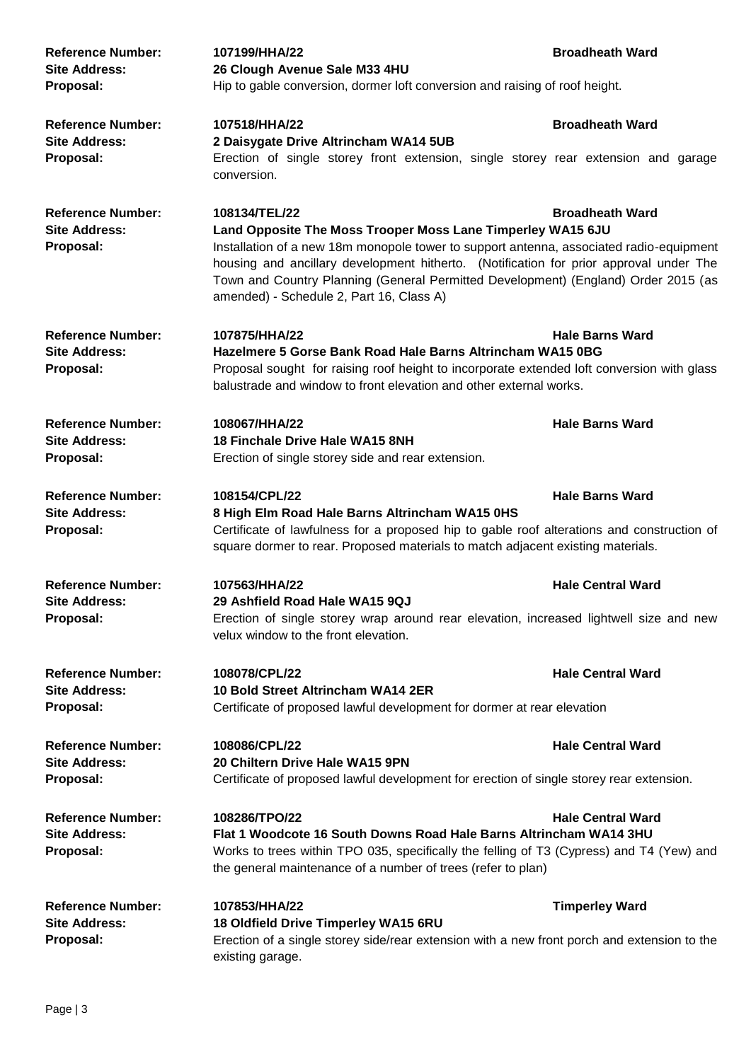| <b>Reference Number:</b><br><b>Site Address:</b><br>Proposal: | 107199/HHA/22<br>26 Clough Avenue Sale M33 4HU<br>Hip to gable conversion, dormer loft conversion and raising of roof height.                                                                                                                                                                                                                                                                       | <b>Broadheath Ward</b>   |
|---------------------------------------------------------------|-----------------------------------------------------------------------------------------------------------------------------------------------------------------------------------------------------------------------------------------------------------------------------------------------------------------------------------------------------------------------------------------------------|--------------------------|
| <b>Reference Number:</b><br><b>Site Address:</b><br>Proposal: | 107518/HHA/22<br>2 Daisygate Drive Altrincham WA14 5UB<br>Erection of single storey front extension, single storey rear extension and garage<br>conversion.                                                                                                                                                                                                                                         | <b>Broadheath Ward</b>   |
| <b>Reference Number:</b><br><b>Site Address:</b><br>Proposal: | 108134/TEL/22<br>Land Opposite The Moss Trooper Moss Lane Timperley WA15 6JU<br>Installation of a new 18m monopole tower to support antenna, associated radio-equipment<br>housing and ancillary development hitherto. (Notification for prior approval under The<br>Town and Country Planning (General Permitted Development) (England) Order 2015 (as<br>amended) - Schedule 2, Part 16, Class A) | <b>Broadheath Ward</b>   |
| <b>Reference Number:</b><br><b>Site Address:</b><br>Proposal: | 107875/HHA/22<br>Hazelmere 5 Gorse Bank Road Hale Barns Altrincham WA15 0BG<br>Proposal sought for raising roof height to incorporate extended loft conversion with glass<br>balustrade and window to front elevation and other external works.                                                                                                                                                     | <b>Hale Barns Ward</b>   |
| <b>Reference Number:</b><br><b>Site Address:</b><br>Proposal: | 108067/HHA/22<br>18 Finchale Drive Hale WA15 8NH<br>Erection of single storey side and rear extension.                                                                                                                                                                                                                                                                                              | <b>Hale Barns Ward</b>   |
| <b>Reference Number:</b><br><b>Site Address:</b><br>Proposal: | 108154/CPL/22<br>8 High Elm Road Hale Barns Altrincham WA15 0HS<br>Certificate of lawfulness for a proposed hip to gable roof alterations and construction of<br>square dormer to rear. Proposed materials to match adjacent existing materials.                                                                                                                                                    | <b>Hale Barns Ward</b>   |
| <b>Reference Number:</b><br>Site Address:<br>Proposal:        | 107563/HHA/22<br>29 Ashfield Road Hale WA15 9QJ<br>Erection of single storey wrap around rear elevation, increased lightwell size and new<br>velux window to the front elevation.                                                                                                                                                                                                                   | <b>Hale Central Ward</b> |
| <b>Reference Number:</b><br><b>Site Address:</b><br>Proposal: | 108078/CPL/22<br>10 Bold Street Altrincham WA14 2ER<br>Certificate of proposed lawful development for dormer at rear elevation                                                                                                                                                                                                                                                                      | <b>Hale Central Ward</b> |
| <b>Reference Number:</b><br><b>Site Address:</b><br>Proposal: | 108086/CPL/22<br>20 Chiltern Drive Hale WA15 9PN<br>Certificate of proposed lawful development for erection of single storey rear extension.                                                                                                                                                                                                                                                        | <b>Hale Central Ward</b> |
| <b>Reference Number:</b><br><b>Site Address:</b><br>Proposal: | 108286/TPO/22<br>Flat 1 Woodcote 16 South Downs Road Hale Barns Altrincham WA14 3HU<br>Works to trees within TPO 035, specifically the felling of T3 (Cypress) and T4 (Yew) and<br>the general maintenance of a number of trees (refer to plan)                                                                                                                                                     | <b>Hale Central Ward</b> |
| <b>Reference Number:</b><br><b>Site Address:</b><br>Proposal: | 107853/HHA/22<br>18 Oldfield Drive Timperley WA15 6RU<br>Erection of a single storey side/rear extension with a new front porch and extension to the<br>existing garage.                                                                                                                                                                                                                            | <b>Timperley Ward</b>    |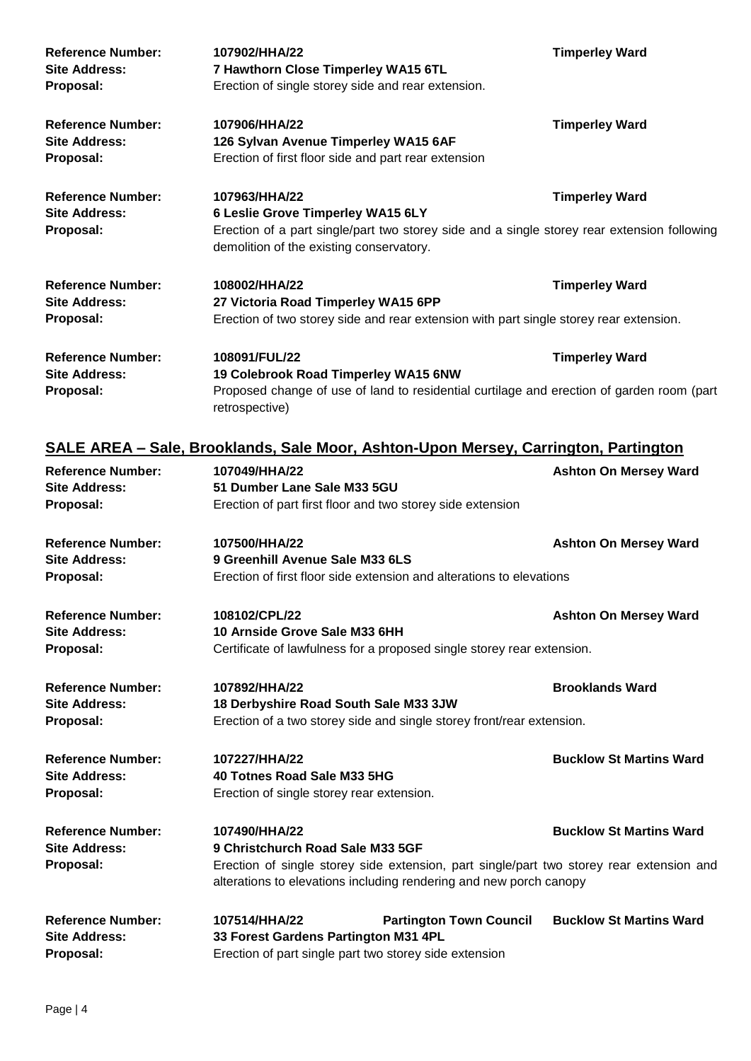| <b>Reference Number:</b><br><b>Site Address:</b><br>Proposal: | 107902/HHA/22<br>7 Hawthorn Close Timperley WA15 6TL<br>Erection of single storey side and rear extension.                                                                                    | <b>Timperley Ward</b> |
|---------------------------------------------------------------|-----------------------------------------------------------------------------------------------------------------------------------------------------------------------------------------------|-----------------------|
| <b>Reference Number:</b><br><b>Site Address:</b><br>Proposal: | 107906/HHA/22<br>126 Sylvan Avenue Timperley WA15 6AF<br>Erection of first floor side and part rear extension                                                                                 | <b>Timperley Ward</b> |
| <b>Reference Number:</b><br><b>Site Address:</b><br>Proposal: | 107963/HHA/22<br>6 Leslie Grove Timperley WA15 6LY<br>Erection of a part single/part two storey side and a single storey rear extension following<br>demolition of the existing conservatory. | <b>Timperley Ward</b> |
| <b>Reference Number:</b><br><b>Site Address:</b><br>Proposal: | 108002/HHA/22<br>27 Victoria Road Timperley WA15 6PP<br>Erection of two storey side and rear extension with part single storey rear extension.                                                | <b>Timperley Ward</b> |
| <b>Reference Number:</b><br><b>Site Address:</b><br>Proposal: | 108091/FUL/22<br>19 Colebrook Road Timperley WA15 6NW<br>Proposed change of use of land to residential curtilage and erection of garden room (part<br>retrospective)                          | <b>Timperley Ward</b> |

## **SALE AREA – Sale, Brooklands, Sale Moor, Ashton-Upon Mersey, Carrington, Partington**

| <b>Reference Number:</b><br><b>Site Address:</b><br>Proposal: | 107049/HHA/22<br>51 Dumber Lane Sale M33 5GU                           | Erection of part first floor and two storey side extension                                                                                                     | <b>Ashton On Mersey Ward</b>   |
|---------------------------------------------------------------|------------------------------------------------------------------------|----------------------------------------------------------------------------------------------------------------------------------------------------------------|--------------------------------|
| <b>Reference Number:</b>                                      | 107500/HHA/22                                                          |                                                                                                                                                                | <b>Ashton On Mersey Ward</b>   |
| <b>Site Address:</b>                                          | 9 Greenhill Avenue Sale M33 6LS                                        |                                                                                                                                                                |                                |
| Proposal:                                                     |                                                                        | Erection of first floor side extension and alterations to elevations                                                                                           |                                |
| <b>Reference Number:</b>                                      | 108102/CPL/22                                                          |                                                                                                                                                                | <b>Ashton On Mersey Ward</b>   |
| <b>Site Address:</b>                                          |                                                                        | 10 Arnside Grove Sale M33 6HH                                                                                                                                  |                                |
| Proposal:                                                     | Certificate of lawfulness for a proposed single storey rear extension. |                                                                                                                                                                |                                |
| <b>Reference Number:</b>                                      | 107892/HHA/22                                                          |                                                                                                                                                                | <b>Brooklands Ward</b>         |
| <b>Site Address:</b>                                          | 18 Derbyshire Road South Sale M33 3JW                                  |                                                                                                                                                                |                                |
| Proposal:                                                     |                                                                        | Erection of a two storey side and single storey front/rear extension.                                                                                          |                                |
| <b>Reference Number:</b>                                      | 107227/HHA/22                                                          |                                                                                                                                                                | <b>Bucklow St Martins Ward</b> |
| <b>Site Address:</b>                                          | 40 Totnes Road Sale M33 5HG                                            |                                                                                                                                                                |                                |
| Proposal:                                                     | Erection of single storey rear extension.                              |                                                                                                                                                                |                                |
| <b>Reference Number:</b>                                      | 107490/HHA/22                                                          |                                                                                                                                                                | <b>Bucklow St Martins Ward</b> |
| <b>Site Address:</b>                                          | 9 Christchurch Road Sale M33 5GF                                       |                                                                                                                                                                |                                |
| Proposal:                                                     |                                                                        | Erection of single storey side extension, part single/part two storey rear extension and<br>alterations to elevations including rendering and new porch canopy |                                |
| <b>Reference Number:</b>                                      | 107514/HHA/22                                                          | <b>Partington Town Council</b>                                                                                                                                 | <b>Bucklow St Martins Ward</b> |
| <b>Site Address:</b>                                          | 33 Forest Gardens Partington M31 4PL                                   |                                                                                                                                                                |                                |
| Proposal:                                                     |                                                                        | Erection of part single part two storey side extension                                                                                                         |                                |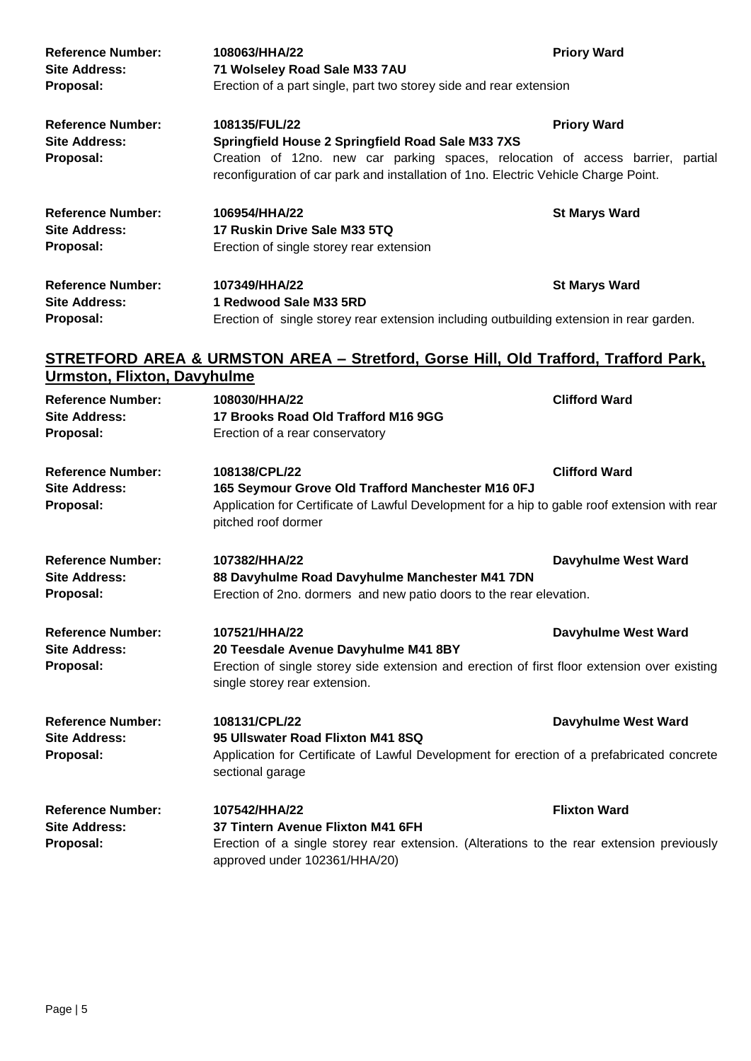| <b>Reference Number:</b>           | 108063/HHA/22                                                                                 | <b>Priory Ward</b>   |
|------------------------------------|-----------------------------------------------------------------------------------------------|----------------------|
| <b>Site Address:</b>               | 71 Wolseley Road Sale M33 7AU                                                                 |                      |
| Proposal:                          | Erection of a part single, part two storey side and rear extension                            |                      |
|                                    |                                                                                               |                      |
| <b>Reference Number:</b>           | 108135/FUL/22                                                                                 | <b>Priory Ward</b>   |
| <b>Site Address:</b>               | Springfield House 2 Springfield Road Sale M33 7XS                                             |                      |
| Proposal:                          | Creation of 12no. new car parking spaces, relocation of access barrier, partial               |                      |
|                                    | reconfiguration of car park and installation of 1no. Electric Vehicle Charge Point.           |                      |
|                                    |                                                                                               |                      |
| <b>Reference Number:</b>           | 106954/HHA/22                                                                                 | <b>St Marys Ward</b> |
| <b>Site Address:</b>               | 17 Ruskin Drive Sale M33 5TQ                                                                  |                      |
|                                    |                                                                                               |                      |
| Proposal:                          | Erection of single storey rear extension                                                      |                      |
| <b>Reference Number:</b>           | 107349/HHA/22                                                                                 | <b>St Marys Ward</b> |
|                                    |                                                                                               |                      |
| <b>Site Address:</b>               | 1 Redwood Sale M33 5RD                                                                        |                      |
| Proposal:                          | Erection of single storey rear extension including outbuilding extension in rear garden.      |                      |
|                                    |                                                                                               |                      |
|                                    | STRETFORD AREA & URMSTON AREA - Stretford, Gorse Hill, Old Trafford, Trafford Park,           |                      |
| <b>Urmston, Flixton, Davyhulme</b> |                                                                                               |                      |
| <b>Reference Number:</b>           | 108030/HHA/22                                                                                 | <b>Clifford Ward</b> |
| <b>Site Address:</b>               | 17 Brooks Road Old Trafford M16 9GG                                                           |                      |
| Proposal:                          | Erection of a rear conservatory                                                               |                      |
|                                    |                                                                                               |                      |
| <b>Reference Number:</b>           | 108138/CPL/22                                                                                 | <b>Clifford Ward</b> |
| <b>Site Address:</b>               | 165 Seymour Grove Old Trafford Manchester M16 0FJ                                             |                      |
| Proposal:                          | Application for Certificate of Lawful Development for a hip to gable roof extension with rear |                      |
|                                    | pitched roof dormer                                                                           |                      |
|                                    |                                                                                               |                      |
| <b>Reference Number:</b>           | 107382/HHA/22                                                                                 | Davyhulme West Ward  |
| <b>Site Address:</b>               | 88 Davyhulme Road Davyhulme Manchester M41 7DN                                                |                      |
|                                    |                                                                                               |                      |
| Proposal:                          | Erection of 2no. dormers and new patio doors to the rear elevation.                           |                      |
| <b>Reference Number:</b>           | 107521/HHA/22                                                                                 | Davyhulme West Ward  |
| <b>Site Address:</b>               | 20 Teesdale Avenue Davyhulme M41 8BY                                                          |                      |
|                                    |                                                                                               |                      |
| Proposal:                          | Erection of single storey side extension and erection of first floor extension over existing  |                      |
|                                    | single storey rear extension.                                                                 |                      |
| <b>Reference Number:</b>           | 108131/CPL/22                                                                                 | Davyhulme West Ward  |
|                                    |                                                                                               |                      |
| <b>Site Address:</b>               | 95 Ullswater Road Flixton M41 8SQ                                                             |                      |
| Proposal:                          | Application for Certificate of Lawful Development for erection of a prefabricated concrete    |                      |
|                                    | sectional garage                                                                              |                      |
|                                    |                                                                                               |                      |
| <b>Reference Number:</b>           | 107542/HHA/22                                                                                 | <b>Flixton Ward</b>  |
| <b>Site Address:</b>               | 37 Tintern Avenue Flixton M41 6FH                                                             |                      |
| Proposal:                          | Erection of a single storey rear extension. (Alterations to the rear extension previously     |                      |
|                                    | approved under 102361/HHA/20)                                                                 |                      |
|                                    |                                                                                               |                      |
|                                    |                                                                                               |                      |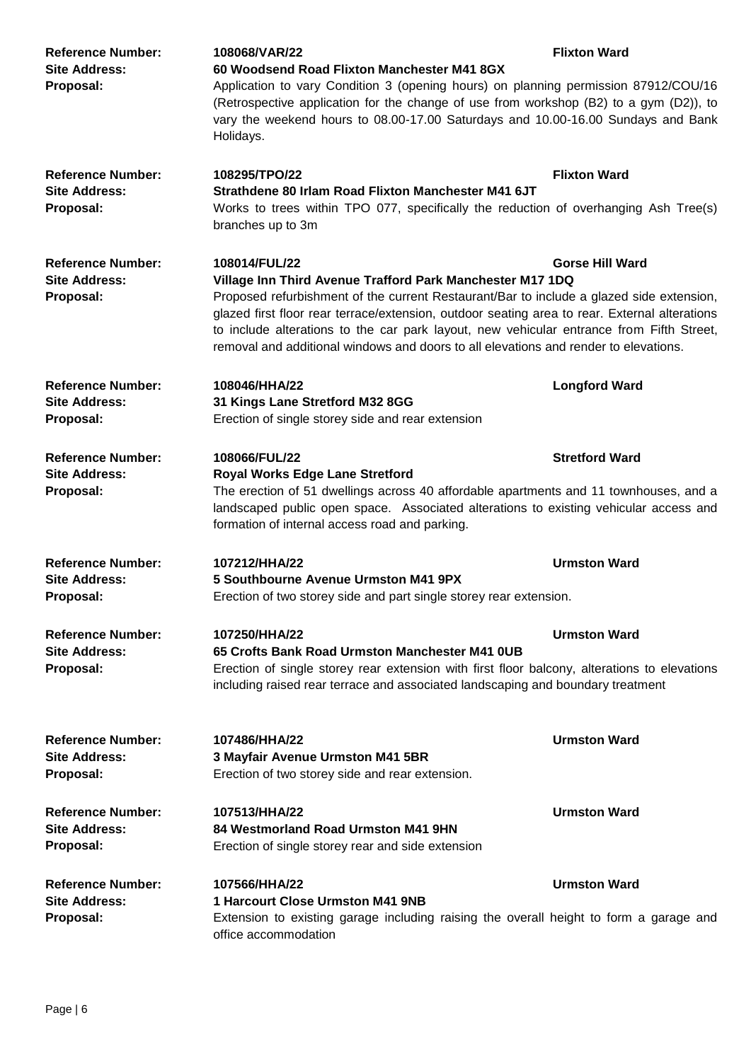| <b>Reference Number:</b><br><b>Site Address:</b><br>Proposal: | 108068/VAR/22<br>60 Woodsend Road Flixton Manchester M41 8GX<br>Application to vary Condition 3 (opening hours) on planning permission 87912/COU/16<br>(Retrospective application for the change of use from workshop (B2) to a gym (D2)), to<br>vary the weekend hours to 08.00-17.00 Saturdays and 10.00-16.00 Sundays and Bank<br>Holidays.                                                                                                                                        | <b>Flixton Ward</b>   |
|---------------------------------------------------------------|---------------------------------------------------------------------------------------------------------------------------------------------------------------------------------------------------------------------------------------------------------------------------------------------------------------------------------------------------------------------------------------------------------------------------------------------------------------------------------------|-----------------------|
| <b>Reference Number:</b><br><b>Site Address:</b><br>Proposal: | 108295/TPO/22<br>Strathdene 80 Irlam Road Flixton Manchester M41 6JT<br>Works to trees within TPO 077, specifically the reduction of overhanging Ash Tree(s)<br>branches up to 3m                                                                                                                                                                                                                                                                                                     | <b>Flixton Ward</b>   |
| <b>Reference Number:</b><br><b>Site Address:</b><br>Proposal: | 108014/FUL/22<br><b>Gorse Hill Ward</b><br>Village Inn Third Avenue Trafford Park Manchester M17 1DQ<br>Proposed refurbishment of the current Restaurant/Bar to include a glazed side extension,<br>glazed first floor rear terrace/extension, outdoor seating area to rear. External alterations<br>to include alterations to the car park layout, new vehicular entrance from Fifth Street,<br>removal and additional windows and doors to all elevations and render to elevations. |                       |
| <b>Reference Number:</b><br><b>Site Address:</b><br>Proposal: | 108046/HHA/22<br>31 Kings Lane Stretford M32 8GG<br>Erection of single storey side and rear extension                                                                                                                                                                                                                                                                                                                                                                                 | <b>Longford Ward</b>  |
| <b>Reference Number:</b><br><b>Site Address:</b><br>Proposal: | 108066/FUL/22<br><b>Royal Works Edge Lane Stretford</b><br>The erection of 51 dwellings across 40 affordable apartments and 11 townhouses, and a<br>landscaped public open space. Associated alterations to existing vehicular access and<br>formation of internal access road and parking.                                                                                                                                                                                           | <b>Stretford Ward</b> |
| <b>Reference Number:</b><br><b>Site Address:</b><br>Proposal: | 107212/HHA/22<br>5 Southbourne Avenue Urmston M41 9PX<br>Erection of two storey side and part single storey rear extension.                                                                                                                                                                                                                                                                                                                                                           | <b>Urmston Ward</b>   |
| <b>Reference Number:</b><br><b>Site Address:</b><br>Proposal: | <b>Urmston Ward</b><br>107250/HHA/22<br>65 Crofts Bank Road Urmston Manchester M41 0UB<br>Erection of single storey rear extension with first floor balcony, alterations to elevations<br>including raised rear terrace and associated landscaping and boundary treatment                                                                                                                                                                                                             |                       |
| <b>Reference Number:</b><br><b>Site Address:</b><br>Proposal: | 107486/HHA/22<br>3 Mayfair Avenue Urmston M41 5BR<br>Erection of two storey side and rear extension.                                                                                                                                                                                                                                                                                                                                                                                  | <b>Urmston Ward</b>   |
| <b>Reference Number:</b><br><b>Site Address:</b><br>Proposal: | 107513/HHA/22<br>84 Westmorland Road Urmston M41 9HN<br>Erection of single storey rear and side extension                                                                                                                                                                                                                                                                                                                                                                             | <b>Urmston Ward</b>   |
| <b>Reference Number:</b><br><b>Site Address:</b><br>Proposal: | 107566/HHA/22<br>1 Harcourt Close Urmston M41 9NB<br>Extension to existing garage including raising the overall height to form a garage and<br>office accommodation                                                                                                                                                                                                                                                                                                                   | <b>Urmston Ward</b>   |